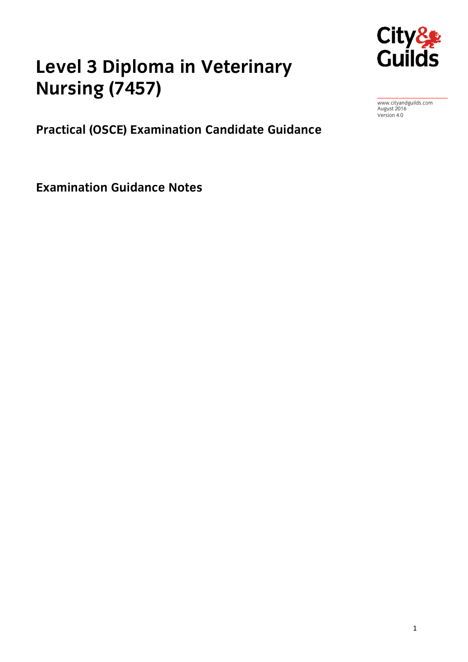

# **Level 3 Diplomaceuse 1 Nursing (7457)**

August 2016<br>Version 4.0

**Practical (OSCE) Examination Candidate Guidance**

**Examination Guidance Notes**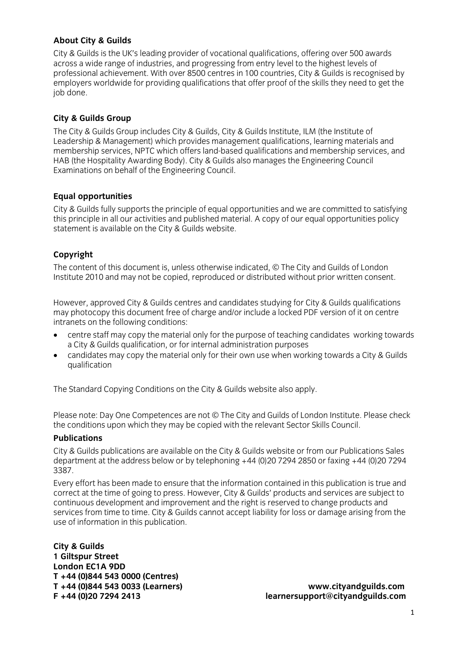### **About City & Guilds**

City & Guilds is the UK's leading provider of vocational qualifications, offering over 500 awards across a wide range of industries, and progressing from entry level to the highest levels of professional achievement. With over 8500 centres in 100 countries, City & Guilds is recognised by employers worldwide for providing qualifications that offer proof of the skills they need to get the  $\epsilon$  iop done. job done.

**City & Guilds Group** Leadership & Management) which provides management qualifications, learning materials and membership services, NPTC which offers land-based qualifications and membership services, and HAB (the Hospitality Awarding Body). City & Guilds also manages the Engineering Council Examinations on behalf of the Engineering Council.  $E = \frac{1}{2}$  on  $\frac{1}{2}$ 

**Equal opportunities**<br>City & Guilds fully supports the principle of equal opportunities and we are committed to satisfying this principle in all our activities and published material. A copy of our equal opportunities policy statement is available on the City & Guilds website. statement is available on the City  $\mathcal{L}$ 

**Copyright**<br>The content of this document is, unless otherwise indicated, © The City and Guilds of London Institute 2010 and may not be copied, reproduced or distributed without prior written consent. Institute 2010 and may not be copied, reproduced or distributed without prior written consent.

However, approved City & Guilds centres and candidates studying for City & Guilds qualifications<br>may photocopy this document free of charge and/or include a locked PDF version of it on centre intranets on the following conditions:

- centre staff may copy the material only for the purpose of teaching candidates working towards<br>a City & Guilds qualification or for internal administration purposes
- candidates may copy the material only for their own use when working towards a City & Guilds qualification qualification

The Standard Copying Conditions on the City & Guilds website also apply.

the conditions unon which they may be conjed with the relevant Sector Skills Council the conditions upon which they may be copied with the relevant Sector Skills Council.

City & Guilds publications are available on the City & Guilds website or from our Publications Sales department at the address below or by telephoning  $+44$  (0)20 7294 2850 or faxing  $+44$  (0)20 7294 department at the address below or by telephonic  $\frac{1}{2}$  (1)<sup>2</sup>  $\frac{1}{2}$  (1)<sup>2</sup>  $\frac{1}{2}$  (1)<sup>2</sup>

Every effort has been made to ensure that the information contained in this publication is true and correct at the time of going to press. However, City & Guilds' products and services are subject to continuous development and improvement and the right is reserved to change products and services from time to time. City & Guilds cannot accept liability for loss or damage arising from the use of information in this publication. use of information in this publication.

**City & Guilds London EC1A 9DD** T +44 (0)844 543 0000 (Centres) **T +44 (0)844 543 0000 (Centres)** 

**T +44 (0)844 543 0033 (Learners) [www.cityandguilds.com](mailto:learnersupport@cityandguilds.com) F +44 (0)20 7294 2413 learnersupport@cityandguilds.com**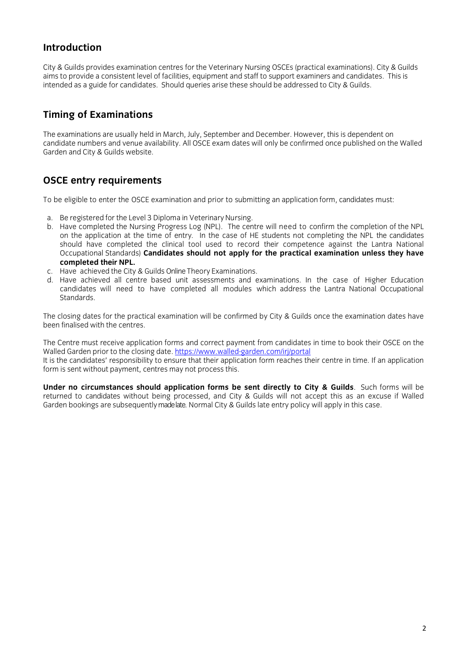## **Introduction**

aims to provide a consistent level of facilities, equipment and staff to support examiners and candidates. This is intended as a guide for candidates. Should queries arise these should be addressed to City & Guilds. intended as a guide for candidates. Should queries arise these should be addressed to City & Guilds.

# **Timing of Examinations**

The examinations are usually held in March, July, September and December. However, this is dependent on candidate numbers and venue availability. All OSCE exam dates will only be confirmed once published on the Walled Garden and City & Guilds website.  $\mathcal{G}_{\mathcal{A}}$ 

## **OSCE entry requirements**

To be eligible to enter the OSCE examination and prior to submitting an application form, candidates must:

- 
- a. Be registered for the Level 3 Diploma in Veterinary Nursing.<br>b. Have completed the Nursing Progress Log (NPL). The centre will need to confirm the completion of the NPL on the application at the time of entry. In the case of HE students not completing the NPL the candidates should have completed the clinical tool used to record their competence against the Lantra National Occupational Standards) Candidates should not apply for the practical examination unless they have Occupational Standards) **Candidates should not apply for the practical examination unless they have**
- c. Have achieved the City & Guilds Online Theory Examinations.
- d. Have achieved all centre based unit assessments and examinations. In the case of Higher Education candidates will need to have completed all modules which address the Lantra National Occupational candidates will need to have completed all modules will module all modules which address the Lantra National O

The closing dates for the practical examination will be confirmed by City & Guilds once the examination dates have<br>been finalised with the centres.

The Centre must receive application forms [and correct payment](https://www.walled-garden.com/irj/portal) from candidates in time to book their OSCE on the Walled Garden prior to the closing date. https://www.walled-garden.com/irj/portal

It is the candidates' responsibility to ensure that their application form reaches their centre in time. If an application form is sent without payment centres may not process this  $\frac{1}{2}$  and  $\frac{1}{2}$  and  $\frac{1}{2}$  and  $\frac{1}{2}$  and  $\frac{1}{2}$  and  $\frac{1}{2}$  and  $\frac{1}{2}$  and  $\frac{1}{2}$  and  $\frac{1}{2}$  and  $\frac{1}{2}$  and  $\frac{1}{2}$  and  $\frac{1}{2}$ for the sent with payment, centres  $\mathbf{r}$  and  $\mathbf{r}$ 

**Under no circumstances should application forms be sent directly to City & Guilds**. Such forms will be Garden bookings are subsequently madelate. Normal City & Guilds late entry policy will apply in this case. Garden bookings are subsequently made late. Normal City & Guilds late entry policy will apply in this case.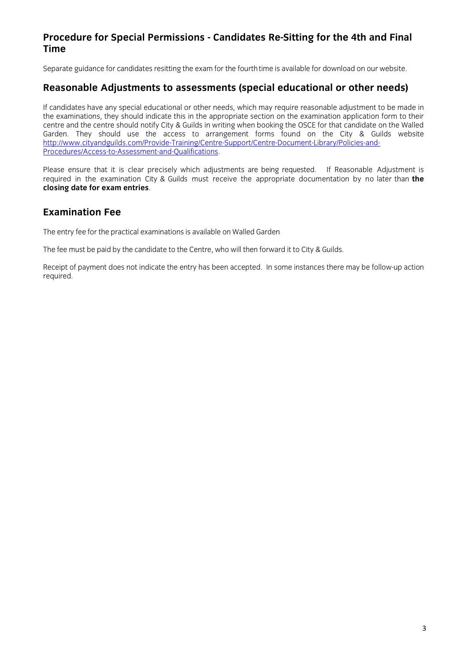# **Procedure for Special Permissions - Candidates Re-Sitting for the 4th and Final**

Separate guidance for candidates resitting the exam for the fourthtime is available for download on our website.

### Reasonable Adjustments to assessments (special educational or other needs) **Reasonable Adjustments to assessments (special educational or other needs)**

If candidates have any special educational or other needs, which may require reasonable adjustment to be made in<br>the examinations, they should indicate this in the appropriate section on the examination application form to centre and the centre should notify City & Guilds in writing when booking the OSCE for that candidate on the Walled Garden. They should use the access to arrangement forms found on the City & Guilds website http://www.cityandguilds.com/Provide-Training/Centre-Support/Centre-Document-Library/Policies-and-Procedures/Access-to-Assessment-and-Qualifications. Procedures/Access-to-Assessment-and-Qualifications.

Please ensure that it is clear precisely which adjustments are being requested. If Reasonable Adjustment is required in the examination City & Guilds must receive the appropriate documentation by no later than the required in the exame entries. **closing date for exam entries**.

### **Examination Fee Examination Fee**

 $T$  for the practical examinations is available on  $W$ 

 $T_{\rm eff}$  must be paid by the candidate to the Centre, who will then forward it to  $C$ 

 $R$ ecuired. Indicate the entry has been accepted. In some instances the entry has been action of  $\ell$ required.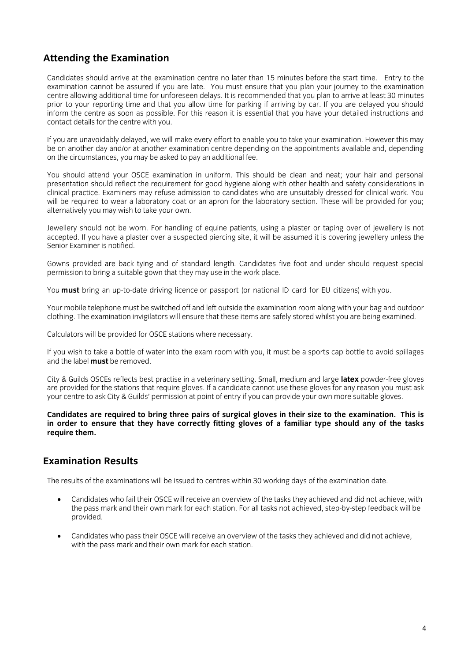## **Attending the Examination**

Candidates should arrive at the examination centre no later than 15 minutes before the start time. Entry to the examination cannot be assured if you are late. You must ensure that you plan your journey to the examination centre allowing additional time for unforeseen delays. It is recommended that you plan to arrive at least 30 minutes prior to your reporting time and that you allow time for parking if arriving by car. If you are delayed you should inform the centre as soon as possible. For this reason it is essential that you have your detailed instructions and contact details for the centre with you.  $\mathcal{L}_{\mathcal{L}}$ 

If you are unavoidably delayed, we will make every effort to enable you to take your examination. However this may be on another day and/or at another examination centre depending on the appointments available and, depending on the circumstances, you may be asked to pay an additional fee. on the circumstances, you may be asked to pay and fee.

You should attend your OSCE examination in uniform. This should be clean and neat; your hair and personal presentation should reflect the requirement for good hygiene along with other health and safety considerations in clinical practice. Examiners may refuse admission to candidates who are unsuitably dressed for clinical work. You will be required to wear a laboratory coat or an apron for the laboratory section. These will be provided for you; alternatively you may wish to take your own. alternatively you may wish to take  $\mathcal{A}$ 

Jewellery should not be worn. For handling of equine patients, using a plaster or taping over of jewellery is not<br>accepted. If you have a plaster over a suspected piercing site, it will be assumed it is covering jewellery Senior Examiner is notified.

Gowns provided are back tying and of standard length. Candidates five foot and under should request special permission to bring a suitable gown that they may use in the work place. permission to bring a suitable government place. They may use in the work place in the work place. The work place  $\mathcal{L}$ 

You **must** bring an up-to-date driving licence or passport (or national ID card for EU citizens) with you.

Your mobile telephone must be switched off and left outside the examination room along with your bag and outdoor<br>clothing. The examination invigilators will ensure that these items are safely stored whilst you are being ex clothing. The examination invigilators will ensure that these items are safely stored whilst you are being examined.

Calculators will be provided for OSCE stations where necessary.

If you wish to take a bottle of water into the exam room with you, it must be a sports cap bottle to avoid spillages and the label **must** be removed.

City & Guilds OSCEs reflects best practise in a veterinary setting. Small, medium and large **latex** powder-free gloves your centre to ask City & Guilds' permission at point of entry if you can provide your own more suitable gloves. your centre to ask City & Guilds' permission at point of entry if you can provide your own more suitable gloves.

**Candidates are required to bring three pairs of surgical gloves in their size to the examination. This is in order to ensure that they have correctly fitting gloves of a familiar type should any of the tasks require them.**

### **Examination Results Examination Results**

The results of the examinations with  $30 \text{ m/s}$  with  $30 \text{ m/s}$  with  $30 \text{ m/s}$ 

- Candidates who fail their OSCE will receive an overview of the tasks they achieved and did not achieve, with  $t_{\rm model}$  mark for all tasks not achieved, station. For all tasks not achieved, step-by-step-by-step-by-step-by-step-by-step-by-step-by-step-by-step-by-step-by-step-by-step-by-step-by-step-by-step-by-step-by-step-by-step-b provided.
- Candidates who pass their OSCE will receive an overview of the tasks they achieved and did not achieve, with the pass mark and their own mark for each station.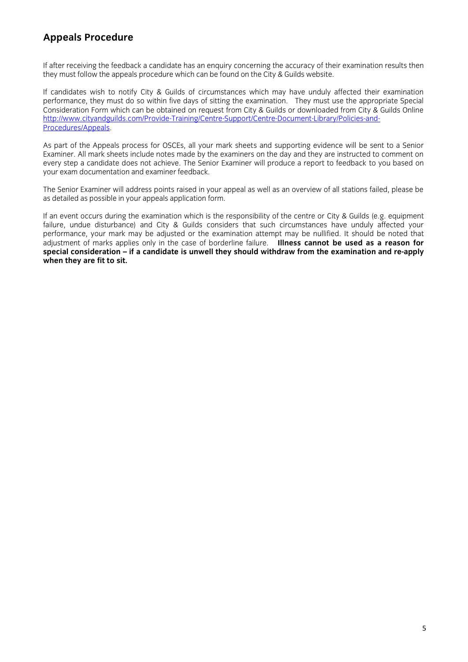# **Appeals Procedure**

If after receiving the feedback a candidate has an enguiry concerning the accuracy of their examination results then they must follow the appeals procedure which can be found on the City & Guilds website. they must follow the appeals procedure which can be found on the City & Guilds website.

If candidates wish to notify City & Guilds of circumstances which may have unduly affected their examination performance, they must do so within five days of sitting the examination. They must use the appropriate Special Consideration Form which can be obtained on request from City & Guilds or downloaded from City & Guilds Online http://www.cityandguilds.com/Provide-Training/Centre-Support/Centre-Document-Library/Policies-and-Procedures/Appeals. Procedures/Appeals.

As part of the Appeals process for OSCEs, all your mark sheets and supporting evidence will be sent to a Senior<br>Examiner. All mark sheets include notes made by the examiners on the day and they are instructed to comment on every step a candidate does not achieve. The Senior Examiner will produce a report to feedback to you based on your exam documentation and examiner feedback. your exam documentation and examiner feedback.

The Senior Examiner will address points raised in your appeal as well as an overview of all stations failed, please be as detailed as possible in your appeals application form. as detailed as possible in your appeals application form.

If an event occurs during the examination which is the responsibility of the centre or City & Guilds (e.g. equipment failure, undue disturbance) and City & Guilds considers that such circumstances have unduly affected your performance, your mark may be adjusted or the examination attempt may be nullified. It should be noted that adjustment of marks applies only in the case of borderline failure. Illness cannot be used as a reason for special consideration – if a candidate is unwell they should withdraw from the examination and re-apply **when they are fit to sit. when they are fit to sit.**